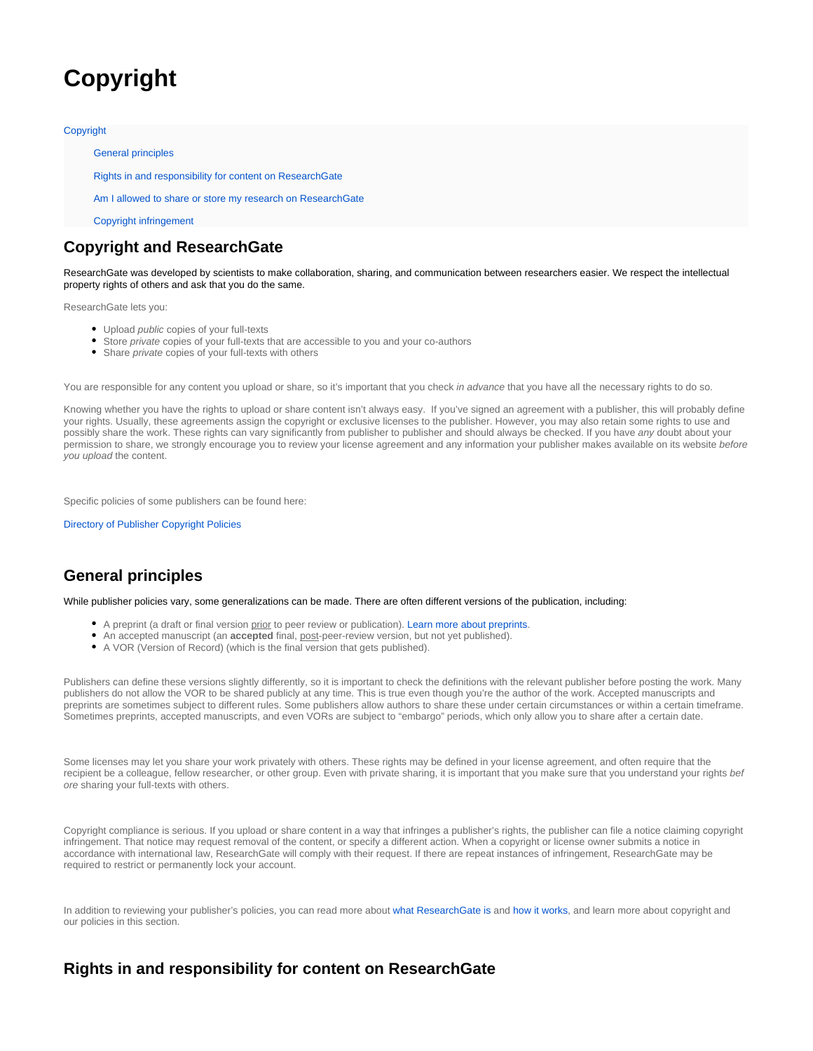# <span id="page-0-0"></span>**Copyright**

#### **[Copyright](#page-0-0)**

[General principles](#page-0-1)

[Rights in and responsibility for content on ResearchGate](#page-0-2)

[Am I allowed to share or store my research on ResearchGate](#page-1-0)

[Copyright infringement](#page-2-0)

#### **Copyright and ResearchGate**

ResearchGate was developed by scientists to make collaboration, sharing, and communication between researchers easier. We respect the intellectual property rights of others and ask that you do the same.

ResearchGate lets you:

- Upload *public* copies of your full-texts
- Store private copies of your full-texts that are accessible to you and your co-authors
- Share *private* copies of your full-texts with others

You are responsible for any content you upload or share, so it's important that you check in advance that you have all the necessary rights to do so.

Knowing whether you have the rights to upload or share content isn't always easy. If you've signed an agreement with a publisher, this will probably define your rights. Usually, these agreements assign the copyright or exclusive licenses to the publisher. However, you may also retain some rights to use and possibly share the work. These rights can vary significantly from publisher to publisher and should always be checked. If you have any doubt about your permission to share, we strongly encourage you to review your license agreement and any information your publisher makes available on its website before you upload the content.

Specific policies of some publishers can be found here:

[Directory of Publisher Copyright Policies](https://explore.researchgate.net/display/support/Directory+of+Publisher+Copyright+Policies)

## <span id="page-0-1"></span>**General principles**

While publisher policies vary, some generalizations can be made. There are often different versions of the publication, including:

- A preprint (a draft or final version prior to peer review or publication). [Learn more about preprints](https://explore.researchgate.net/display/support/Preprints).
- An accepted manuscript (an **accepted** final, post-peer-review version, but not yet published).
- A VOR (Version of Record) (which is the final version that gets published).

Publishers can define these versions slightly differently, so it is important to check the definitions with the relevant publisher before posting the work. Many publishers do not allow the VOR to be shared publicly at any time. This is true even though you're the author of the work. Accepted manuscripts and preprints are sometimes subject to different rules. Some publishers allow authors to share these under certain circumstances or within a certain timeframe. Sometimes preprints, accepted manuscripts, and even VORs are subject to "embargo" periods, which only allow you to share after a certain date.

Some licenses may let you share your work privately with others. These rights may be defined in your license agreement, and often require that the recipient be a colleague, fellow researcher, or other group. Even with private sharing, it is important that you make sure that you understand your rights bef ore sharing your full-texts with others.

Copyright compliance is serious. If you upload or share content in a way that infringes a publisher's rights, the publisher can file a notice claiming copyright infringement. That notice may request removal of the content, or specify a different action. When a copyright or license owner submits a notice in accordance with international law, ResearchGate will comply with their request. If there are repeat instances of infringement, ResearchGate may be required to restrict or permanently lock your account.

In addition to reviewing your publisher's policies, you can read more about [what ResearchGate is](https://explore.researchgate.net/display/support/Getting+started) and [how it works,](https://explore.researchgate.net/display/support/Understanding+the+terminology) and learn more about copyright and our policies in this section.

## <span id="page-0-2"></span>**Rights in and responsibility for content on ResearchGate**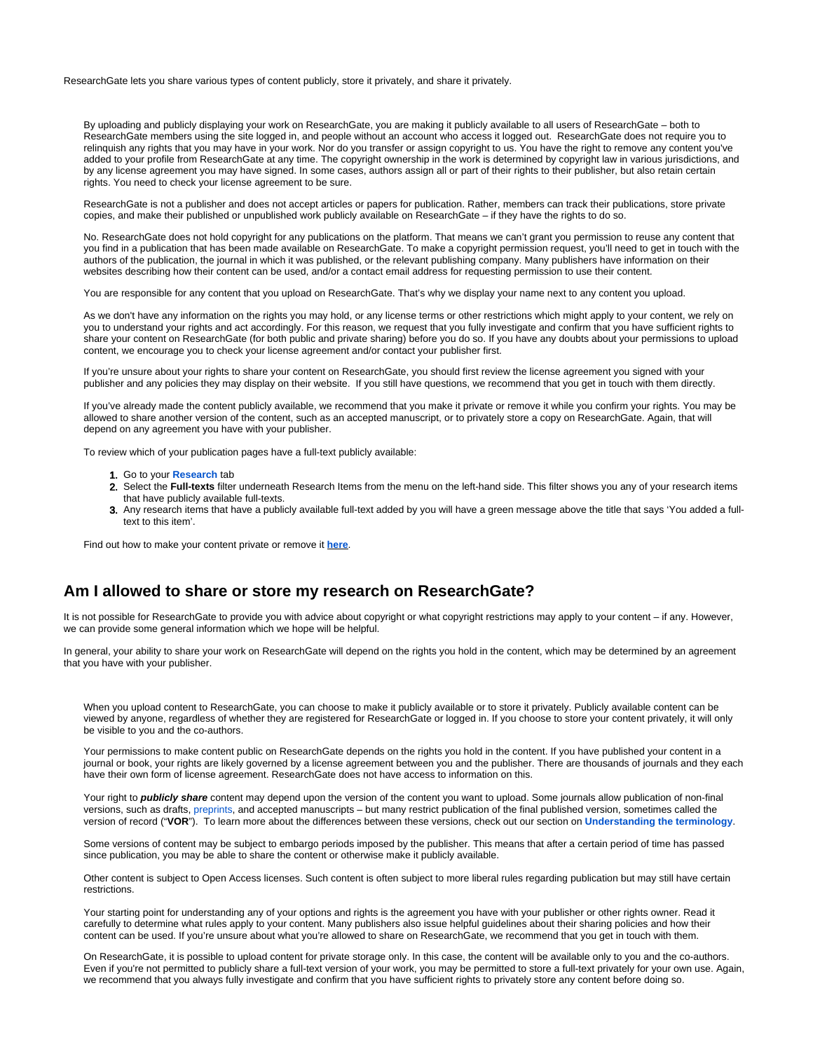ResearchGate lets you share various types of content publicly, store it privately, and share it privately.

By uploading and publicly displaying your work on ResearchGate, you are making it publicly available to all users of ResearchGate – both to ResearchGate members using the site logged in, and people without an account who access it logged out. ResearchGate does not require you to relinquish any rights that you may have in your work. Nor do you transfer or assign copyright to us. You have the right to remove any content you've added to your profile from ResearchGate at any time. The copyright ownership in the work is determined by copyright law in various jurisdictions, and by any license agreement you may have signed. In some cases, authors assign all or part of their rights to their publisher, but also retain certain rights. You need to check your license agreement to be sure.

ResearchGate is not a publisher and does not accept articles or papers for publication. Rather, members can track their publications, store private copies, and make their published or unpublished work publicly available on ResearchGate – if they have the rights to do so.

No. ResearchGate does not hold copyright for any publications on the platform. That means we can't grant you permission to reuse any content that you find in a publication that has been made available on ResearchGate. To make a copyright permission request, you'll need to get in touch with the authors of the publication, the journal in which it was published, or the relevant publishing company. Many publishers have information on their websites describing how their content can be used, and/or a contact email address for requesting permission to use their content.

You are responsible for any content that you upload on ResearchGate. That's why we display your name next to any content you upload.

As we don't have any information on the rights you may hold, or any license terms or other restrictions which might apply to your content, we rely on you to understand your rights and act accordingly. For this reason, we request that you fully investigate and confirm that you have sufficient rights to share your content on ResearchGate (for both public and private sharing) before you do so. If you have any doubts about your permissions to upload content, we encourage you to check your license agreement and/or contact your publisher first.

If you're unsure about your rights to share your content on ResearchGate, you should first review the license agreement you signed with your publisher and any policies they may display on their website. If you still have questions, we recommend that you get in touch with them directly.

If you've already made the content publicly available, we recommend that you make it private or remove it while you confirm your rights. You may be allowed to share another version of the content, such as an accepted manuscript, or to privately store a copy on ResearchGate. Again, that will depend on any agreement you have with your publisher.

To review which of your publication pages have a full-text publicly available:

- 1. Go to your **[Research](https://www.researchgate.net/go.Profile.contributions.html)** tab
- 2. Select the **Full-texts** filter underneath Research Items from the menu on the left-hand side. This filter shows you any of your research items that have publicly available full-texts.
- 3. Any research items that have a publicly available full-text added by you will have a green message above the title that says 'You added a fulltext to this item'.

Find out how to make your content private or remove it **[here](https://explore.researchgate.net/display/support/How+to+make+content+private+or+remove+it)**.

#### <span id="page-1-0"></span>**Am I allowed to share or store my research on ResearchGate?**

It is not possible for ResearchGate to provide you with advice about copyright or what copyright restrictions may apply to your content – if any. However, we can provide some general information which we hope will be helpful.

In general, your ability to share your work on ResearchGate will depend on the rights you hold in the content, which may be determined by an agreement that you have with your publisher.

When you upload content to ResearchGate, you can choose to make it publicly available or to store it privately. Publicly available content can be viewed by anyone, regardless of whether they are registered for ResearchGate or logged in. If you choose to store your content privately, it will only be visible to you and the co-authors.

Your permissions to make content public on ResearchGate depends on the rights you hold in the content. If you have published your content in a journal or book, your rights are likely governed by a license agreement between you and the publisher. There are thousands of journals and they each have their own form of license agreement. ResearchGate does not have access to information on this.

Your right to **publicly share** content may depend upon the version of the content you want to upload. Some journals allow publication of non-final versions, such as drafts, [preprints](https://explore.researchgate.net/display/support/Preprints), and accepted manuscripts – but many restrict publication of the final published version, sometimes called the version of record ("**VOR**"). To learn more about the differences between these versions, check out our section on **[Understanding the terminology](https://explore.researchgate.net/display/support/Understanding+the+terminology)**.

Some versions of content may be subject to embargo periods imposed by the publisher. This means that after a certain period of time has passed since publication, you may be able to share the content or otherwise make it publicly available.

Other content is subject to Open Access licenses. Such content is often subject to more liberal rules regarding publication but may still have certain restrictions.

Your starting point for understanding any of your options and rights is the agreement you have with your publisher or other rights owner. Read it carefully to determine what rules apply to your content. Many publishers also issue helpful guidelines about their sharing policies and how their content can be used. If you're unsure about what you're allowed to share on ResearchGate, we recommend that you get in touch with them.

On ResearchGate, it is possible to upload content for private storage only. In this case, the content will be available only to you and the co-authors. Even if you're not permitted to publicly share a full-text version of your work, you may be permitted to store a full-text privately for your own use. Again, we recommend that you always fully investigate and confirm that you have sufficient rights to privately store any content before doing so.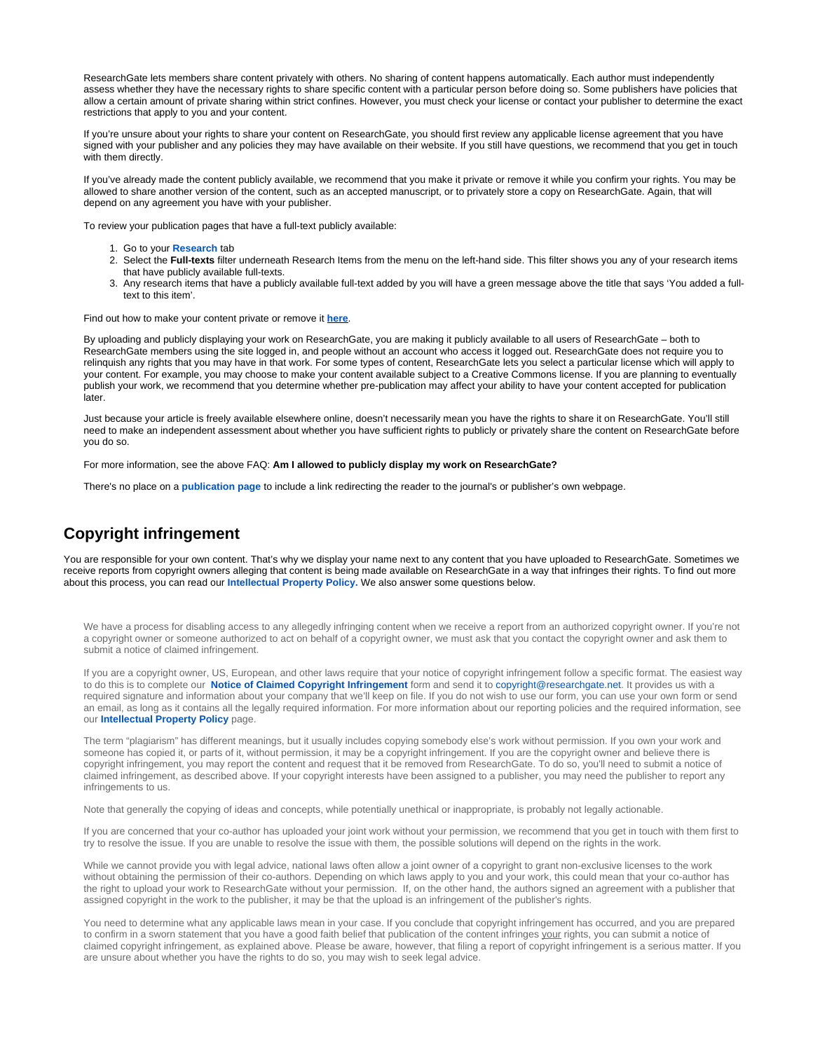ResearchGate lets members share content privately with others. No sharing of content happens automatically. Each author must independently assess whether they have the necessary rights to share specific content with a particular person before doing so. Some publishers have policies that allow a certain amount of private sharing within strict confines. However, you must check your license or contact your publisher to determine the exact restrictions that apply to you and your content.

If you're unsure about your rights to share your content on ResearchGate, you should first review any applicable license agreement that you have signed with your publisher and any policies they may have available on their website. If you still have questions, we recommend that you get in touch with them directly.

If you've already made the content publicly available, we recommend that you make it private or remove it while you confirm your rights. You may be allowed to share another version of the content, such as an accepted manuscript, or to privately store a copy on ResearchGate. Again, that will depend on any agreement you have with your publisher.

To review your publication pages that have a full-text publicly available:

- 1. Go to your **[Research](https://www.researchgate.net/go.Profile.contributions.html)** tab
- 2. Select the **Full-texts** filter underneath Research Items from the menu on the left-hand side. This filter shows you any of your research items that have publicly available full-texts.
- 3. Any research items that have a publicly available full-text added by you will have a green message above the title that says 'You added a fulltext to this item'.

Find out how to make your content private or remove it **[here](https://explore.researchgate.net/display/support/How+to+make+content+private+or+remove+it)**.

By uploading and publicly displaying your work on ResearchGate, you are making it publicly available to all users of ResearchGate – both to ResearchGate members using the site logged in, and people without an account who access it logged out. ResearchGate does not require you to relinquish any rights that you may have in that work. For some types of content, ResearchGate lets you select a particular license which will apply to your content. For example, you may choose to make your content available subject to a Creative Commons license. If you are planning to eventually publish your work, we recommend that you determine whether pre-publication may affect your ability to have your content accepted for publication later.

Just because your article is freely available elsewhere online, doesn't necessarily mean you have the rights to share it on ResearchGate. You'll still need to make an independent assessment about whether you have sufficient rights to publicly or privately share the content on ResearchGate before you do so.

For more information, see the above FAQ: **Am I allowed to publicly display my work on ResearchGate?**

There's no place on a **[publication page](https://explore.researchgate.net/display/support/Understanding+the+terminology)** to include a link redirecting the reader to the journal's or publisher's own webpage.

#### <span id="page-2-0"></span>**Copyright infringement**

You are responsible for your own content. That's why we display your name next to any content that you have uploaded to ResearchGate. Sometimes we receive reports from copyright owners alleging that content is being made available on ResearchGate in a way that infringes their rights. To find out more about this process, you can read our **[Intellectual Property Policy.](https://www.researchgate.net/application.IntellectualPropertyPolicy.html)** We also answer some questions below.

We have a process for disabling access to any allegedly infringing content when we receive a report from an authorized copyright owner. If you're not a copyright owner or someone authorized to act on behalf of a copyright owner, we must ask that you contact the copyright owner and ask them to submit a notice of claimed infringement.

If you are a copyright owner, US, European, and other laws require that your notice of copyright infringement follow a specific format. The easiest way to do this is to complete our **[Notice of Claimed Copyright Infringement](https://www.researchgate.net/images/RG_NOCI_v3.pdf)** form and send it to [copyright@researchgate.net.](mailto:copyright@researchgate.net) It provides us with a required signature and information about your company that we'll keep on file. If you do not wish to use our form, you can use your own form or send an email, as long as it contains all the legally required information. For more information about our reporting policies and the required information, see our **[Intellectual Property Policy](https://www.researchgate.net/application.IntellectualPropertyPolicy.html)** page.

The term "plagiarism" has different meanings, but it usually includes copying somebody else's work without permission. If you own your work and someone has copied it, or parts of it, without permission, it may be a copyright infringement. If you are the copyright owner and believe there is copyright infringement, you may report the content and request that it be removed from ResearchGate. To do so, you'll need to submit a notice of claimed infringement, as described above. If your copyright interests have been assigned to a publisher, you may need the publisher to report any infringements to us.

Note that generally the copying of ideas and concepts, while potentially unethical or inappropriate, is probably not legally actionable.

If you are concerned that your co-author has uploaded your joint work without your permission, we recommend that you get in touch with them first to try to resolve the issue. If you are unable to resolve the issue with them, the possible solutions will depend on the rights in the work.

While we cannot provide you with legal advice, national laws often allow a joint owner of a copyright to grant non-exclusive licenses to the work without obtaining the permission of their co-authors. Depending on which laws apply to you and your work, this could mean that your co-author has the right to upload your work to ResearchGate without your permission. If, on the other hand, the authors signed an agreement with a publisher that assigned copyright in the work to the publisher, it may be that the upload is an infringement of the publisher's rights.

You need to determine what any applicable laws mean in your case. If you conclude that copyright infringement has occurred, and you are prepared to confirm in a sworn statement that you have a good faith belief that publication of the content infringes your rights, you can submit a notice of claimed copyright infringement, as explained above. Please be aware, however, that filing a report of copyright infringement is a serious matter. If you are unsure about whether you have the rights to do so, you may wish to seek legal advice.